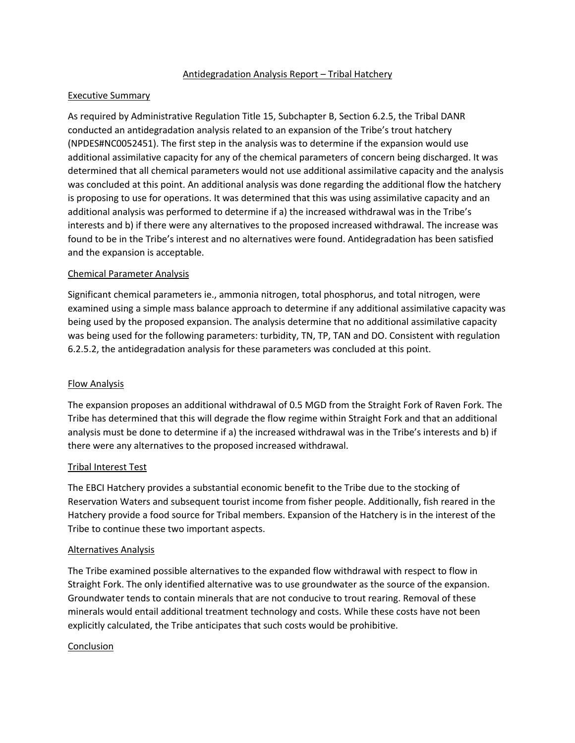## Antidegradation Analysis Report – Tribal Hatchery

# Executive Summary

As required by Administrative Regulation Title 15, Subchapter B, Section 6.2.5, the Tribal DANR conducted an antidegradation analysis related to an expansion of the Tribe's trout hatchery (NPDES#NC0052451). The first step in the analysis was to determine if the expansion would use additional assimilative capacity for any of the chemical parameters of concern being discharged. It was determined that all chemical parameters would not use additional assimilative capacity and the analysis was concluded at this point. An additional analysis was done regarding the additional flow the hatchery is proposing to use for operations. It was determined that this was using assimilative capacity and an additional analysis was performed to determine if a) the increased withdrawal was in the Tribe's interests and b) if there were any alternatives to the proposed increased withdrawal. The increase was found to be in the Tribe's interest and no alternatives were found. Antidegradation has been satisfied and the expansion is acceptable.

## Chemical Parameter Analysis

Significant chemical parameters ie., ammonia nitrogen, total phosphorus, and total nitrogen, were examined using a simple mass balance approach to determine if any additional assimilative capacity was being used by the proposed expansion. The analysis determine that no additional assimilative capacity was being used for the following parameters: turbidity, TN, TP, TAN and DO. Consistent with regulation 6.2.5.2, the antidegradation analysis for these parameters was concluded at this point.

## Flow Analysis

The expansion proposes an additional withdrawal of 0.5 MGD from the Straight Fork of Raven Fork. The Tribe has determined that this will degrade the flow regime within Straight Fork and that an additional analysis must be done to determine if a) the increased withdrawal was in the Tribe's interests and b) if there were any alternatives to the proposed increased withdrawal.

## Tribal Interest Test

The EBCI Hatchery provides a substantial economic benefit to the Tribe due to the stocking of Reservation Waters and subsequent tourist income from fisher people. Additionally, fish reared in the Hatchery provide a food source for Tribal members. Expansion of the Hatchery is in the interest of the Tribe to continue these two important aspects.

## Alternatives Analysis

The Tribe examined possible alternatives to the expanded flow withdrawal with respect to flow in Straight Fork. The only identified alternative was to use groundwater as the source of the expansion. Groundwater tends to contain minerals that are not conducive to trout rearing. Removal of these minerals would entail additional treatment technology and costs. While these costs have not been explicitly calculated, the Tribe anticipates that such costs would be prohibitive.

## Conclusion